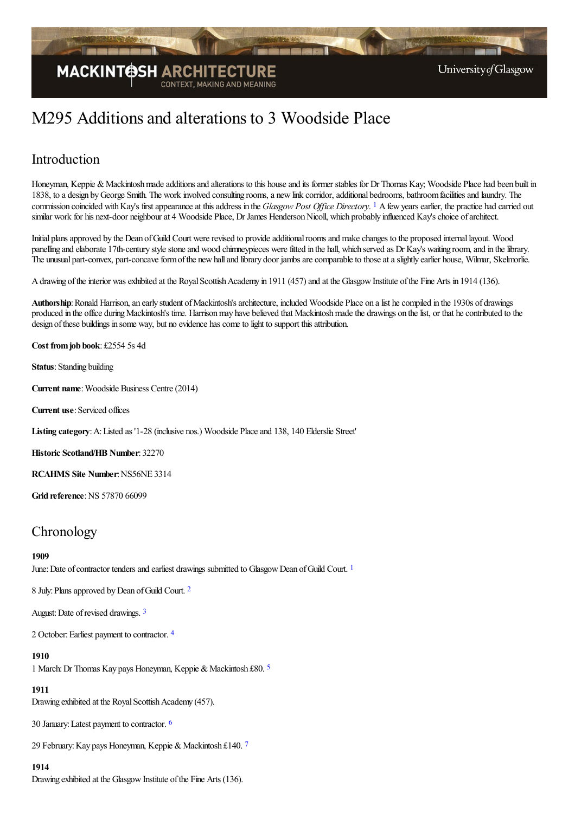

# M295 Additions and alterations to 3 Woodside Place

# Introduction

<span id="page-0-0"></span>Honeyman, Keppie & Mackintosh made additions and alterations to this house and its former stables for Dr Thomas Kay; Woodside Place had been built in 1838, to a design by George Smith. The work involved consulting rooms, a new link corridor, additional bedrooms, bathroom facilities and laundry. The commission coincided with Kay's first appearance at this address in the *Glasgow Post Office Directory*. <sup>[1](#page-3-0)</sup> A few years earlier, the practice had carried out similar work for his next-door neighbour at 4 Woodside Place, Dr James Henderson Nicoll, which probably influenced Kay's choice of architect.

Initial plansapproved by the Dean ofGuild Court wererevised to provideadditionalroomsand makechanges to the proposed internallayout. Wood panelling and elaborate 17th-century style stone and wood chimneypieces were fitted in the hall, which served as Dr Kay's waiting room, and in the library. The unusual part-convex, part-concave form of the new hall and library door jambs are comparable to those at a slightly earlier house, Wilmar, Skelmorlie.

A drawing of the interior was exhibited at the Royal Scottish Academy in 1911 (457) and at the Glasgow Institute of the Fine Arts in 1914 (136).

Authorship: Ronald Harrison, an early student of Mackintosh's architecture, included Woodside Place on a list he compiled in the 1930s of drawings produced in the office during Mackintosh's time. Harrison may have believed that Mackintosh made the drawings on the list, or that he contributed to the design ofthese buildings in some way, but no evidence hascometo light to support thisattribution.

**Cost fromjob book**: £2554 5s 4d

**Status**: Standing building

**Current name:** Woodside Business Centre (2014)

**Current use**:Serviced offices

**Listing category**:A:Listed as '1-28 (inclusive nos.) Woodside Placeand 138, 140 Elderslie Street'

**Historic Scotland/HB Number**: 32270

**RCAHMS** Site Number: NS56NE 3314

**Grid reference: NS 57870 66099** 

# **Chronology**

#### **1909**

<span id="page-0-1"></span>June: Date of contractor tenders and earliest drawings submitted to Glasgow Dean of Guild Court.<sup>[1](#page-3-1)</sup>

<span id="page-0-2"></span>8 July: Plans approved by Dean of Guild Court. <sup>[2](#page-3-2)</sup>

<span id="page-0-3"></span>August: Date of revised drawings. <sup>[3](#page-3-3)</sup>

<span id="page-0-4"></span>2 October: Earliest payment to contractor. [4](#page-3-4)

#### **1910**

<span id="page-0-5"></span>1 March: Dr Thomas Kay pays Honeyman, Keppie & Mackintosh £80. [5](#page-3-5)

#### **1911**

Drawing exhibited at the Royal Scottish Academy (457).

<span id="page-0-6"></span>30 January:Latest payment to contractor. [6](#page-3-6)

29 February: Kay pays Honeyman, Keppie & Mackintosh £140. [7](#page-3-7)

#### <span id="page-0-7"></span>**1914**

Drawing exhibited at the Glasgow Institute of the Fine Arts (136).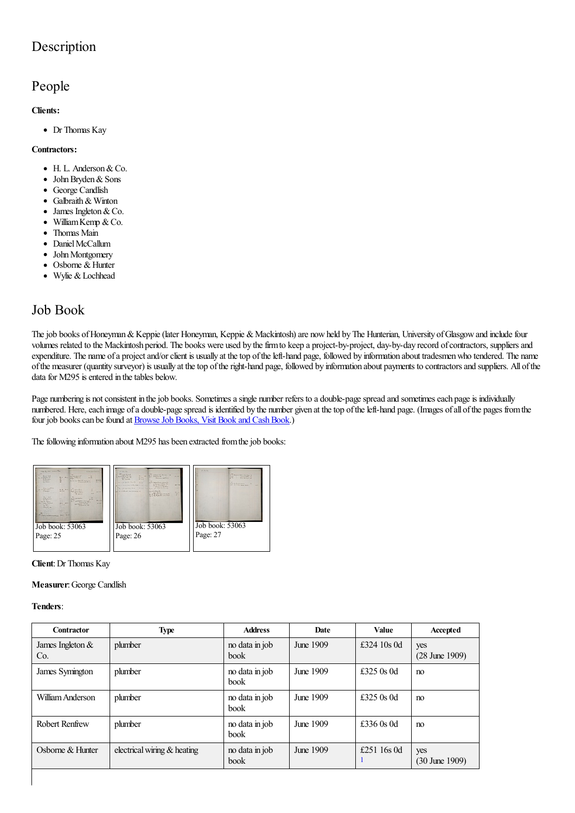# Description

# People

#### **Clients:**

Dr Thomas Kay

#### **Contractors:**

- $\bullet$  H. L. Anderson & Co.
- John Bryden & Sons  $\bullet$
- George Candlish  $\bullet$
- Galbraith& Winton  $\bullet$
- James Ingleton&Co.  $\bullet$
- William Kemp & Co.  $\bullet$
- Thomas Main  $\bullet$
- Daniel McCallum  $\bullet$
- John Montgomery  $\bullet$
- Osborne & Hunter  $\bullet$
- Wylie & Lochhead

# Job Book

The job books of Honeyman & Keppie (later Honeyman, Keppie & Mackintosh) are now held by The Hunterian, University of Glasgow and include four volumes related to the Mackintosh period. The books were used by the firm to keep a project-by-project, day-by-day record of contractors, suppliers and expenditure. The name of a project and/or client is usually at the top of the left-hand page, followed by information about tradesmen who tendered. The name ofthe measurer (quantity surveyor) is usually at thetop oftheright-hand page, followed by information about payments to contractorsand suppliers. All ofthe data for M295 is entered in the tables below.

Page numbering is not consistent in the job books. Sometimes a single number refers to a double-page spread and sometimes each page is individually numbered. Here, each image of a double-page spread is identified by the number given at the top of the left-hand page. (Images of all of the pages from the four job books can be found at Browse Job Books, Visit Book and Cash Book.)

The following information about M295 has been extracted from the job books:



#### **Client**:Dr Thomas Kay

#### **Measurer**:George Candlish

#### **Tenders**:

<span id="page-1-0"></span>

| Contractor                | <b>Type</b>                 | <b>Address</b>                | Date      | <b>Value</b> | Accepted                         |
|---------------------------|-----------------------------|-------------------------------|-----------|--------------|----------------------------------|
| James Ingleton $&$<br>Co. | plumber                     | no data in job<br><b>book</b> | June 1909 | £324 10s 0d  | yes<br>$(28 \text{ June } 1909)$ |
| James Symington           | plumber                     | no data in job<br><b>book</b> | June 1909 | £325 $0s$ 0d | no                               |
| William Anderson          | plumber                     | no data in job<br><b>book</b> | June 1909 | £325 $0s$ 0d | no                               |
| <b>Robert Renfrew</b>     | plumber                     | no data in job<br><b>book</b> | June 1909 | £336 $0s$ 0d | n <sub>0</sub>                   |
| Osborne & Hunter          | electrical wiring & heating | no data in job<br>book        | June 1909 | £251 16s 0d  | yes<br>$(30 \text{ June } 1909)$ |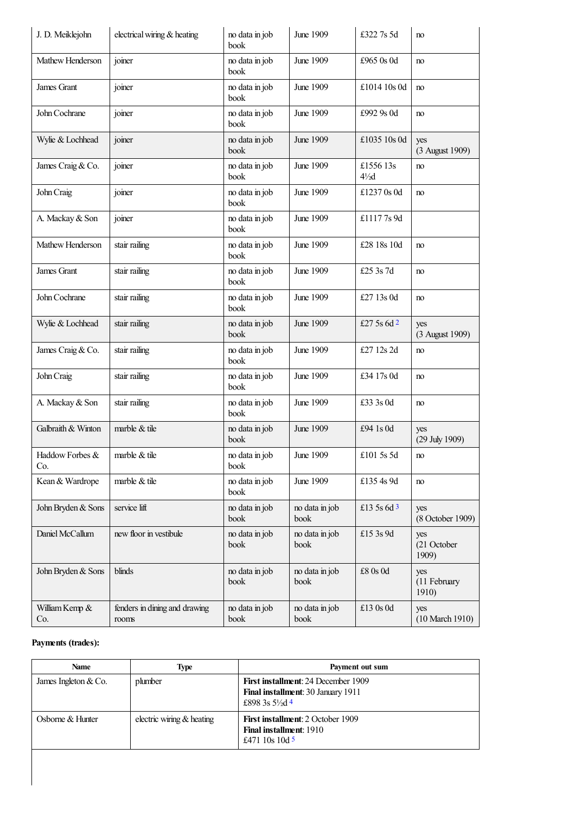<span id="page-2-0"></span>

| J. D. Meiklejohn       | electrical wiring & heating            | no data in job<br>book | June 1909              | £322 7s 5d                   | no                           |
|------------------------|----------------------------------------|------------------------|------------------------|------------------------------|------------------------------|
| Mathew Henderson       | joiner                                 | no data in job<br>book | June 1909              | £965 0s 0d                   | no                           |
| James Grant            | joiner                                 | no data in job<br>book | June 1909              | £1014 10s 0d                 | no                           |
| John Cochrane          | joiner                                 | no data in job<br>book | June 1909              | £992 9s 0d                   | no                           |
| Wylie & Lochhead       | joiner                                 | no data in job<br>book | June 1909              | £1035 10s 0d                 | yes<br>(3 August 1909)       |
| James Craig & Co.      | joiner                                 | no data in job<br>book | June 1909              | £1556 13s<br>$4\frac{1}{2}d$ | no                           |
| John Craig             | joiner                                 | no data in job<br>book | June 1909              | £1237 0s 0d                  | no                           |
| A. Mackay & Son        | joiner                                 | no data in job<br>book | June 1909              | £11177s9d                    |                              |
| Mathew Henderson       | stair railing                          | no data in job<br>book | June 1909              | £28 18s 10d                  | no                           |
| James Grant            | stair railing                          | no data in job<br>book | June 1909              | £25 3s 7d                    | no                           |
| John Cochrane          | stair railing                          | no data in job<br>book | June 1909              | £27 13s 0d                   | no                           |
| Wylie & Lochhead       | stair railing                          | no data in job<br>book | June 1909              | £27 5s 6d $2$                | yes<br>(3 August 1909)       |
| James Craig & Co.      | stair railing                          | no data in job<br>book | June 1909              | £27 12s 2d                   | no                           |
| John Craig             | stair railing                          | no data in job<br>book | June 1909              | £34 17s 0d                   | no                           |
| A. Mackay & Son        | stair railing                          | no data in job<br>book | June 1909              | £33 3s 0d                    | no                           |
| Galbraith & Winton     | marble & tile                          | no data in job<br>book | June 1909              | £94 1s 0d                    | yes<br>(29 July 1909)        |
| Haddow Forbes &<br>Co. | marble $&$ tile                        | no data in job<br>book | June 1909              | £101 5s 5d                   | no                           |
| Kean & Wardrope        | marble & tile                          | no data in job<br>book | June 1909              | £135 4s 9d                   | no                           |
| John Bryden & Sons     | service lift                           | no data in job<br>book | no data in job<br>book | £13 5s 6d 3                  | yes<br>(8 October 1909)      |
| Daniel McCallum        | new floor in vestibule                 | no data in job<br>book | no data in job<br>book | £15 3s 9d                    | yes<br>(21 October<br>1909)  |
| John Bryden & Sons     | blinds                                 | no data in job<br>book | no data in job<br>book | $\pounds 8$ 0s Od            | yes<br>(11 February<br>1910) |
| William Kemp &<br>Co.  | fenders in dining and drawing<br>rooms | no data in job<br>book | no data in job<br>book | £13 0s 0d                    | yes<br>(10 March 1910)       |

#### <span id="page-2-1"></span>**Payments (trades):**

<span id="page-2-3"></span><span id="page-2-2"></span>

| <b>Name</b>            | Type                      | Payment out sum                                                                                                |
|------------------------|---------------------------|----------------------------------------------------------------------------------------------------------------|
| James Ingleton $& Co.$ | plumber                   | <b>First installment: 24 December 1909</b><br>Final installment: 30 January 1911<br>£898 3s $5\frac{1}{2}$ d 4 |
| Osborne & Hunter       | electric wiring & heating | <b>First installment: 2 October 1909</b><br><b>Final installment: 1910</b><br>£471 10s 10d 5                   |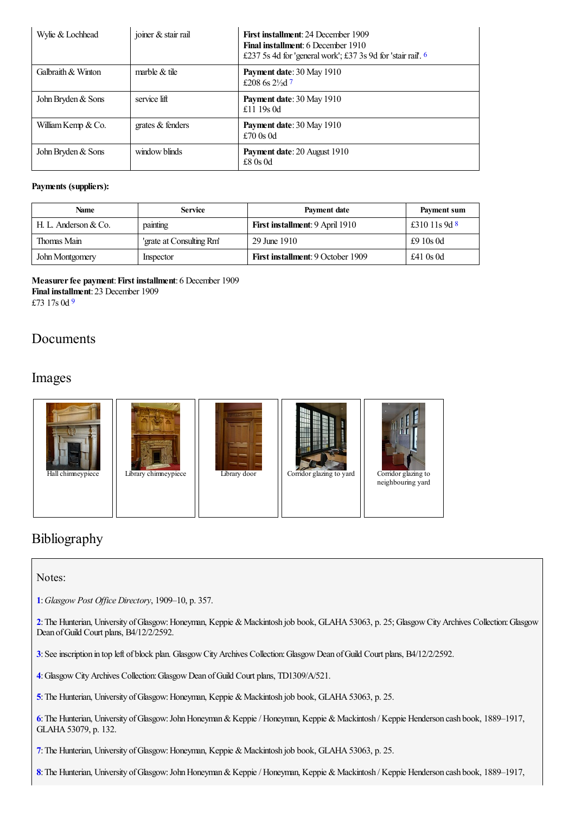<span id="page-3-9"></span><span id="page-3-8"></span>

| Wylie & Lochhead   | joiner & stair rail | <b>First installment: 24 December 1909</b><br><b>Final installment: 6 December 1910</b><br>£237 5s 4d for 'general work'; £37 3s 9d for 'stair rail'. $6$ |
|--------------------|---------------------|-----------------------------------------------------------------------------------------------------------------------------------------------------------|
| Galbraith & Winton | marble $&$ tile     | <b>Payment date: 30 May 1910</b><br>£208 6s $2\frac{1}{3}$ d 7                                                                                            |
| John Bryden & Sons | service lift        | <b>Payment date: 30 May 1910</b><br>£11 19s 0d                                                                                                            |
| William Kemp & Co. | grates $&$ fenders  | Payment date: 30 May 1910<br>£70 $0s$ 0d                                                                                                                  |
| John Bryden & Sons | window blinds       | <b>Payment date: 20 August 1910</b><br>$£8$ 0s 0d                                                                                                         |

#### **Payments (suppliers):**

<span id="page-3-10"></span>

| Name                 | <b>Service</b>           | Payment date                             | Payment sum     |
|----------------------|--------------------------|------------------------------------------|-----------------|
| H. L. Anderson & Co. | painting                 | <b>First installment: 9 April 1910</b>   | £310 11s 9d $8$ |
| Thomas Main          | 'grate at Consulting Rm' | 29 June 1910                             | £9 $10s$ 0d     |
| John Montgomery      | Inspector                | <b>First installment: 9 October 1909</b> | £41 $0s$ 0d     |

<span id="page-3-11"></span>**Measurerfee payment**:**First installment**: 6 December 1909 **Final installment**: 23 December 1909 £73 17s 0d [9](#page-4-8)

# Documents

### Images



# Bibliography

#### Notes:

<span id="page-3-0"></span>**[1](#page-0-0)**:*Glasgow Post Of ice Directory*, 1909–10, p. 357.

<span id="page-3-1"></span>[2](#page-0-1): The Hunterian, University of Glasgow: Honeyman, Keppie & Mackintosh job book, GLAHA 53063, p. 25; Glasgow City Archives Collection: Glasgow Dean of Guild Court plans, B4/12/2/2592.

<span id="page-3-2"></span>**[3](#page-0-2)**:Seeinscription in top left of block plan. GlasgowCityArchives Collection:GlasgowDean ofGuild Court plans, B4/12/2/2592.

<span id="page-3-3"></span>**[4](#page-0-3)**:GlasgowCityArchives Collection:GlasgowDean ofGuild Court plans, TD1309/A/521.

<span id="page-3-4"></span>[5](#page-0-4): The Hunterian, University of Glasgow: Honeyman, Keppie & Mackintosh job book, GLAHA 53063, p. 25.

<span id="page-3-5"></span>**[6](#page-0-5)**:The Hunterian, University ofGlasgow:JohnHoneyman&Keppie/ Honeyman, Keppie &Mackintosh / Keppie Henderson cash book, 1889–1917, GLAHA53079, p. 132.

<span id="page-3-6"></span>[7](#page-0-6): The Hunterian, University of Glasgow: Honeyman, Keppie & Mackintosh job book, GLAHA 53063, p. 25.

<span id="page-3-7"></span>**[8](#page-0-7)**:The Hunterian, University ofGlasgow:JohnHoneyman&Keppie/ Honeyman, Keppie &Mackintosh / Keppie Henderson cash book, 1889–1917,